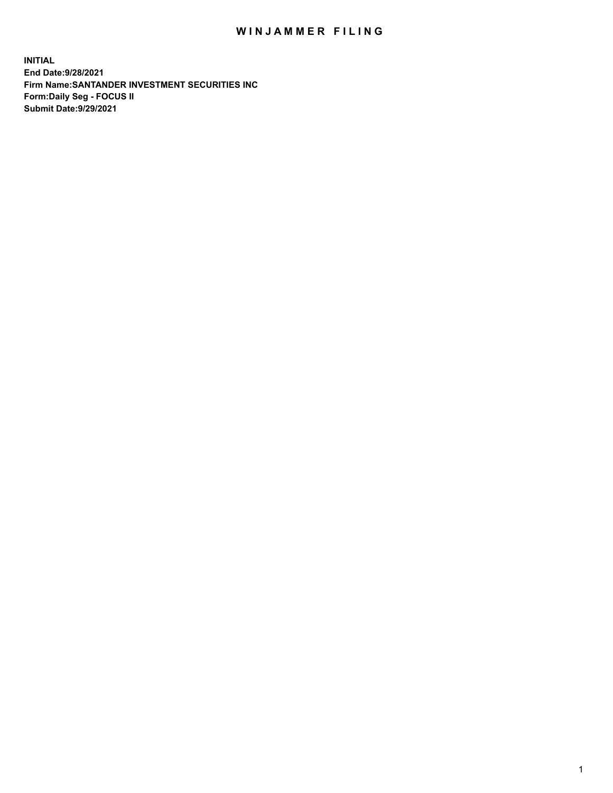## WIN JAMMER FILING

**INITIAL End Date:9/28/2021 Firm Name:SANTANDER INVESTMENT SECURITIES INC Form:Daily Seg - FOCUS II Submit Date:9/29/2021**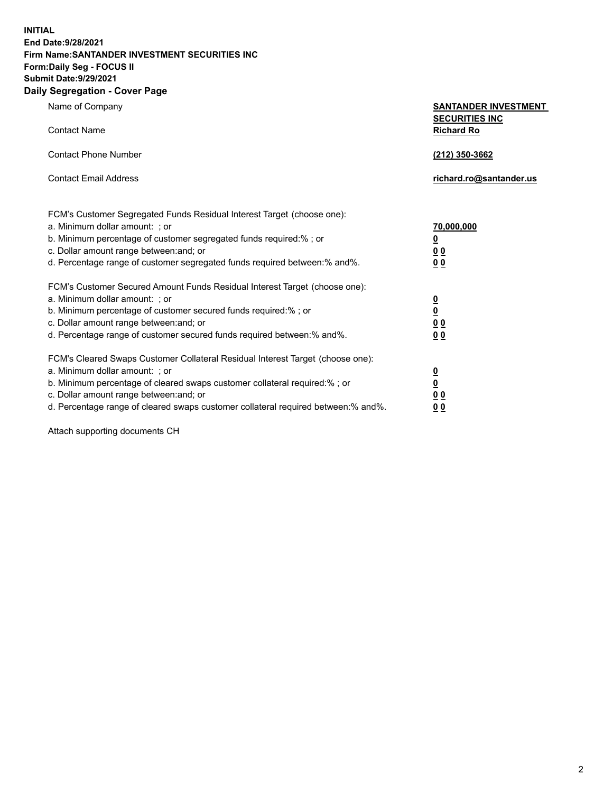**INITIAL End Date:9/28/2021 Firm Name:SANTANDER INVESTMENT SECURITIES INC Form:Daily Seg - FOCUS II Submit Date:9/29/2021 Daily Segregation - Cover Page**

| Name of Company<br><b>Contact Name</b>                                                                                                                                                                                                                                                                                         | <b>SANTANDER INVESTMENT</b><br><b>SECURITIES INC</b><br><b>Richard Ro</b> |
|--------------------------------------------------------------------------------------------------------------------------------------------------------------------------------------------------------------------------------------------------------------------------------------------------------------------------------|---------------------------------------------------------------------------|
| <b>Contact Phone Number</b>                                                                                                                                                                                                                                                                                                    | (212) 350-3662                                                            |
| <b>Contact Email Address</b>                                                                                                                                                                                                                                                                                                   | richard.ro@santander.us                                                   |
| FCM's Customer Segregated Funds Residual Interest Target (choose one):<br>a. Minimum dollar amount: ; or<br>b. Minimum percentage of customer segregated funds required:%; or<br>c. Dollar amount range between: and; or<br>d. Percentage range of customer segregated funds required between:% and%.                          | 70,000,000<br>$\underline{\mathbf{0}}$<br>0 <sub>0</sub><br>00            |
| FCM's Customer Secured Amount Funds Residual Interest Target (choose one):<br>a. Minimum dollar amount: ; or<br>b. Minimum percentage of customer secured funds required:% ; or<br>c. Dollar amount range between: and; or<br>d. Percentage range of customer secured funds required between:% and%.                           | $\frac{0}{0}$<br>$\underline{0} \underline{0}$<br>0 <sub>0</sub>          |
| FCM's Cleared Swaps Customer Collateral Residual Interest Target (choose one):<br>a. Minimum dollar amount: ; or<br>b. Minimum percentage of cleared swaps customer collateral required:% ; or<br>c. Dollar amount range between: and; or<br>d. Percentage range of cleared swaps customer collateral required between:% and%. | $\frac{0}{0}$<br>$\underline{0}$ $\underline{0}$<br>0 <sub>0</sub>        |

Attach supporting documents CH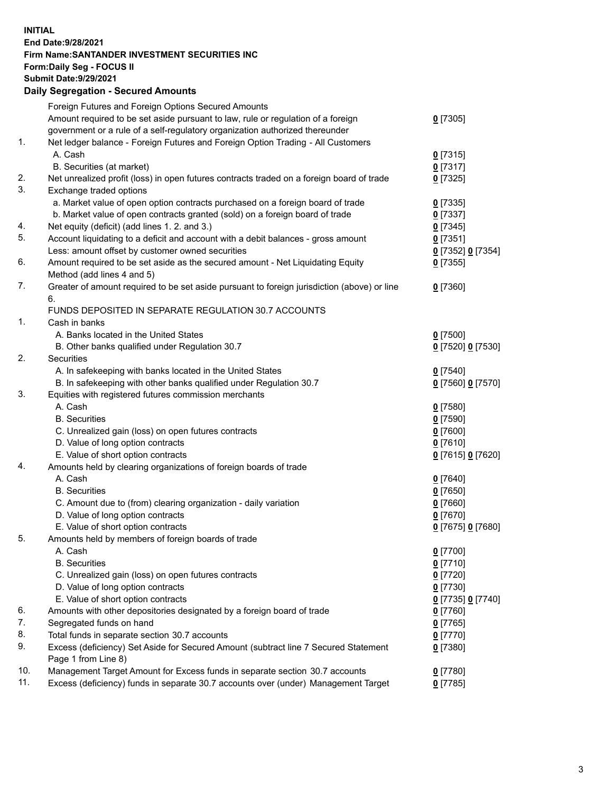**INITIAL End Date:9/28/2021 Firm Name:SANTANDER INVESTMENT SECURITIES INC Form:Daily Seg - FOCUS II Submit Date:9/29/2021 Daily Segregation - Secured Amounts**

|     | Foreign Futures and Foreign Options Secured Amounts                                         |                   |
|-----|---------------------------------------------------------------------------------------------|-------------------|
|     | Amount required to be set aside pursuant to law, rule or regulation of a foreign            | $0$ [7305]        |
|     | government or a rule of a self-regulatory organization authorized thereunder                |                   |
| 1.  | Net ledger balance - Foreign Futures and Foreign Option Trading - All Customers             |                   |
|     | A. Cash                                                                                     | $0$ [7315]        |
|     | B. Securities (at market)                                                                   | 0[7317]           |
| 2.  | Net unrealized profit (loss) in open futures contracts traded on a foreign board of trade   | $0$ [7325]        |
| 3.  | Exchange traded options                                                                     |                   |
|     | a. Market value of open option contracts purchased on a foreign board of trade              | $0$ [7335]        |
|     | b. Market value of open contracts granted (sold) on a foreign board of trade                | $0$ [7337]        |
| 4.  | Net equity (deficit) (add lines 1. 2. and 3.)                                               | $0$ [7345]        |
| 5.  | Account liquidating to a deficit and account with a debit balances - gross amount           | $0$ [7351]        |
|     | Less: amount offset by customer owned securities                                            | 0 [7352] 0 [7354] |
| 6.  | Amount required to be set aside as the secured amount - Net Liquidating Equity              | $0$ [7355]        |
|     | Method (add lines 4 and 5)                                                                  |                   |
| 7.  | Greater of amount required to be set aside pursuant to foreign jurisdiction (above) or line | $0$ [7360]        |
|     | 6.                                                                                          |                   |
|     | FUNDS DEPOSITED IN SEPARATE REGULATION 30.7 ACCOUNTS                                        |                   |
| 1.  | Cash in banks                                                                               |                   |
|     | A. Banks located in the United States                                                       | $0$ [7500]        |
|     | B. Other banks qualified under Regulation 30.7                                              | 0 [7520] 0 [7530] |
| 2.  | Securities                                                                                  |                   |
|     | A. In safekeeping with banks located in the United States                                   | $0$ [7540]        |
|     | B. In safekeeping with other banks qualified under Regulation 30.7                          | 0 [7560] 0 [7570] |
| 3.  | Equities with registered futures commission merchants                                       |                   |
|     | A. Cash                                                                                     | $0$ [7580]        |
|     | <b>B.</b> Securities                                                                        | $0$ [7590]        |
|     | C. Unrealized gain (loss) on open futures contracts                                         | $0$ [7600]        |
|     | D. Value of long option contracts                                                           | $0$ [7610]        |
|     | E. Value of short option contracts                                                          | 0 [7615] 0 [7620] |
| 4.  | Amounts held by clearing organizations of foreign boards of trade                           |                   |
|     | A. Cash                                                                                     | $0$ [7640]        |
|     | <b>B.</b> Securities                                                                        | $0$ [7650]        |
|     | C. Amount due to (from) clearing organization - daily variation                             | $0$ [7660]        |
|     | D. Value of long option contracts                                                           | $0$ [7670]        |
|     | E. Value of short option contracts                                                          | 0 [7675] 0 [7680] |
| 5.  | Amounts held by members of foreign boards of trade                                          |                   |
|     | A. Cash                                                                                     | $0$ [7700]        |
|     | <b>B.</b> Securities                                                                        | $0$ [7710]        |
|     | C. Unrealized gain (loss) on open futures contracts                                         | $0$ [7720]        |
|     | D. Value of long option contracts                                                           | $0$ [7730]        |
|     | E. Value of short option contracts                                                          | 0 [7735] 0 [7740] |
| 6.  | Amounts with other depositories designated by a foreign board of trade                      | $0$ [7760]        |
| 7.  | Segregated funds on hand                                                                    | $0$ [7765]        |
| 8.  | Total funds in separate section 30.7 accounts                                               | $0$ [7770]        |
| 9.  | Excess (deficiency) Set Aside for Secured Amount (subtract line 7 Secured Statement         | 0 [7380]          |
|     | Page 1 from Line 8)                                                                         |                   |
| 10. | Management Target Amount for Excess funds in separate section 30.7 accounts                 | $0$ [7780]        |
| 11. | Excess (deficiency) funds in separate 30.7 accounts over (under) Management Target          | $0$ [7785]        |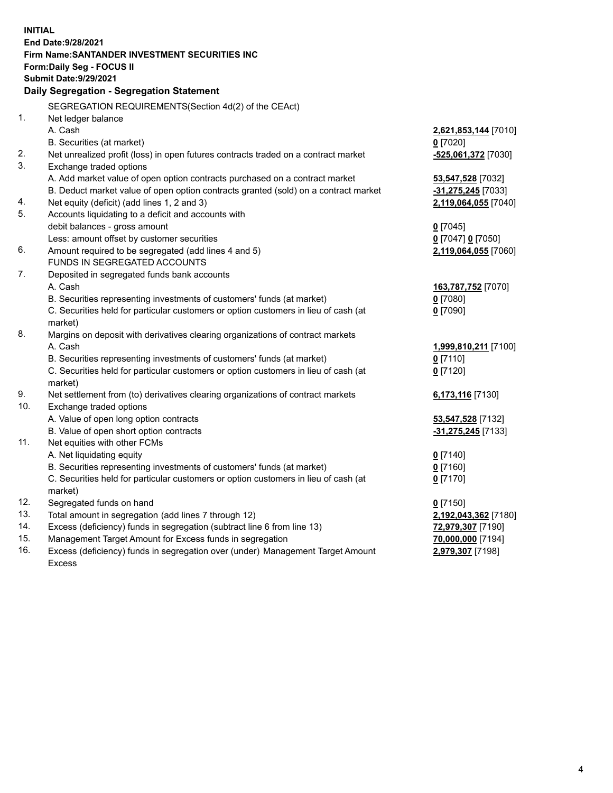| <b>INITIAL</b> | End Date: 9/28/2021<br><b>Firm Name: SANTANDER INVESTMENT SECURITIES INC</b>        |                      |
|----------------|-------------------------------------------------------------------------------------|----------------------|
|                | <b>Form:Daily Seg - FOCUS II</b>                                                    |                      |
|                | <b>Submit Date: 9/29/2021</b>                                                       |                      |
|                | Daily Segregation - Segregation Statement                                           |                      |
|                | SEGREGATION REQUIREMENTS(Section 4d(2) of the CEAct)                                |                      |
| 1.             |                                                                                     |                      |
|                | Net ledger balance<br>A. Cash                                                       | 2,621,853,144 [7010] |
|                | B. Securities (at market)                                                           | $0$ [7020]           |
| 2.             | Net unrealized profit (loss) in open futures contracts traded on a contract market  | -525,061,372 [7030]  |
| 3.             | Exchange traded options                                                             |                      |
|                | A. Add market value of open option contracts purchased on a contract market         | 53,547,528 [7032]    |
|                | B. Deduct market value of open option contracts granted (sold) on a contract market | $-31,275,245$ [7033] |
| 4.             | Net equity (deficit) (add lines 1, 2 and 3)                                         | 2,119,064,055 [7040] |
| 5.             | Accounts liquidating to a deficit and accounts with                                 |                      |
|                | debit balances - gross amount                                                       | $0$ [7045]           |
|                | Less: amount offset by customer securities                                          | 0 [7047] 0 [7050]    |
| 6.             | Amount required to be segregated (add lines 4 and 5)                                | 2,119,064,055 [7060] |
|                | FUNDS IN SEGREGATED ACCOUNTS                                                        |                      |
| 7.             | Deposited in segregated funds bank accounts                                         |                      |
|                | A. Cash                                                                             | 163,787,752 [7070]   |
|                | B. Securities representing investments of customers' funds (at market)              | $0$ [7080]           |
|                | C. Securities held for particular customers or option customers in lieu of cash (at | $0$ [7090]           |
|                | market)                                                                             |                      |
| 8.             | Margins on deposit with derivatives clearing organizations of contract markets      |                      |
|                | A. Cash                                                                             | 1,999,810,211 [7100] |
|                | B. Securities representing investments of customers' funds (at market)              | $0$ [7110]           |
|                | C. Securities held for particular customers or option customers in lieu of cash (at | $0$ [7120]           |
|                | market)                                                                             |                      |
| 9.             | Net settlement from (to) derivatives clearing organizations of contract markets     | 6,173,116 [7130]     |
| 10.            | Exchange traded options                                                             |                      |
|                | A. Value of open long option contracts                                              | 53,547,528 [7132]    |
|                | B. Value of open short option contracts                                             | $-31,275,245$ [7133] |
| 11.            | Net equities with other FCMs                                                        |                      |
|                | A. Net liquidating equity                                                           | $0$ [7140]           |
|                | B. Securities representing investments of customers' funds (at market)              | $0$ [7160]           |
|                | C. Securities held for particular customers or option customers in lieu of cash (at | $0$ [7170]           |
|                | market)                                                                             |                      |
| 12.            | Segregated funds on hand                                                            | $0$ [7150]           |
| 13.            | Total amount in segregation (add lines 7 through 12)                                | 2,192,043,362 [7180] |
| 14.            | Excess (deficiency) funds in segregation (subtract line 6 from line 13)             | 72,979,307 [7190]    |
| 15.            | Management Target Amount for Excess funds in segregation                            | 70,000,000 [7194]    |
| 16.            | Excess (deficiency) funds in segregation over (under) Management Target Amount      | 2,979,307 [7198]     |
|                | <b>Excess</b>                                                                       |                      |